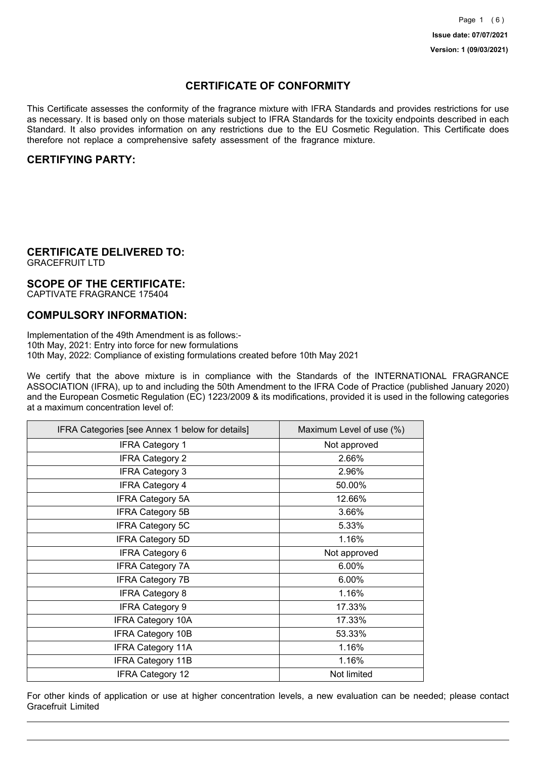## **CERTIFICATE OF CONFORMITY**

This Certificate assesses the conformity of the fragrance mixture with IFRA Standards and provides restrictions for use as necessary. It is based only on those materials subject to IFRA Standards for the toxicity endpoints described in each Standard. It also provides information on any restrictions due to the EU Cosmetic Regulation. This Certificate does therefore not replace a comprehensive safety assessment of the fragrance mixture.

## **CERTIFYING PARTY:**

## **CERTIFICATE DELIVERED TO:**

GRACEFRUIT LTD

### **SCOPE OF THE CERTIFICATE:**

CAPTIVATE FRAGRANCE 175404

## **COMPULSORY INFORMATION:**

Implementation of the 49th Amendment is as follows:- 10th May, 2021: Entry into force for new formulations 10th May, 2022: Compliance of existing formulations created before 10th May 2021

We certify that the above mixture is in compliance with the Standards of the INTERNATIONAL FRAGRANCE ASSOCIATION (IFRA), up to and including the 50th Amendment to the IFRA Code of Practice (published January 2020) and the European Cosmetic Regulation (EC) 1223/2009 & its modifications, provided it is used in the following categories at a maximum concentration level of:

| IFRA Categories [see Annex 1 below for details] | Maximum Level of use (%) |
|-------------------------------------------------|--------------------------|
| <b>IFRA Category 1</b>                          | Not approved             |
| <b>IFRA Category 2</b>                          | 2.66%                    |
| <b>IFRA Category 3</b>                          | 2.96%                    |
| <b>IFRA Category 4</b>                          | 50.00%                   |
| <b>IFRA Category 5A</b>                         | 12.66%                   |
| <b>IFRA Category 5B</b>                         | 3.66%                    |
| <b>IFRA Category 5C</b>                         | 5.33%                    |
| <b>IFRA Category 5D</b>                         | 1.16%                    |
| <b>IFRA Category 6</b>                          | Not approved             |
| <b>IFRA Category 7A</b>                         | 6.00%                    |
| <b>IFRA Category 7B</b>                         | 6.00%                    |
| <b>IFRA Category 8</b>                          | 1.16%                    |
| <b>IFRA Category 9</b>                          | 17.33%                   |
| <b>IFRA Category 10A</b>                        | 17.33%                   |
| <b>IFRA Category 10B</b>                        | 53.33%                   |
| <b>IFRA Category 11A</b>                        | 1.16%                    |
| <b>IFRA Category 11B</b>                        | 1.16%                    |
| <b>IFRA Category 12</b>                         | Not limited              |

For other kinds of application or use at higher concentration levels, a new evaluation can be needed; please contact Gracefruit Limited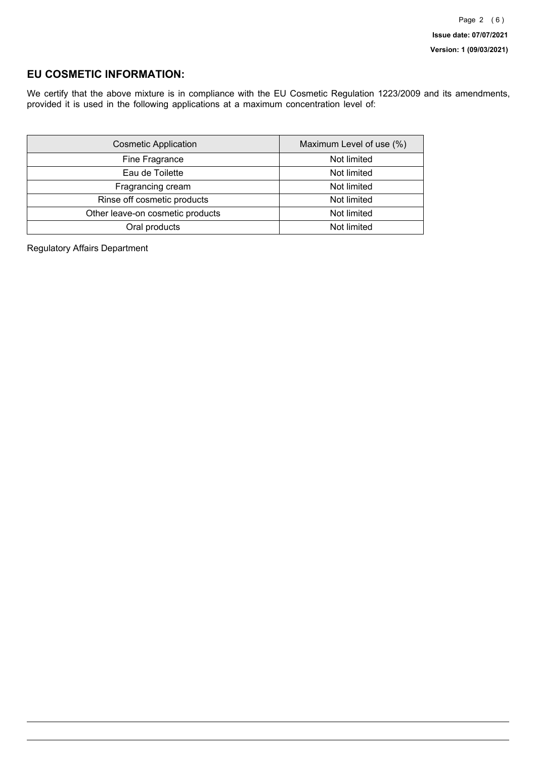## **EU COSMETIC INFORMATION:**

We certify that the above mixture is in compliance with the EU Cosmetic Regulation 1223/2009 and its amendments, provided it is used in the following applications at a maximum concentration level of:

| <b>Cosmetic Application</b>      | Maximum Level of use (%) |
|----------------------------------|--------------------------|
| Fine Fragrance                   | Not limited              |
| Eau de Toilette                  | Not limited              |
| Fragrancing cream                | Not limited              |
| Rinse off cosmetic products      | Not limited              |
| Other leave-on cosmetic products | Not limited              |
| Oral products                    | Not limited              |

Regulatory Affairs Department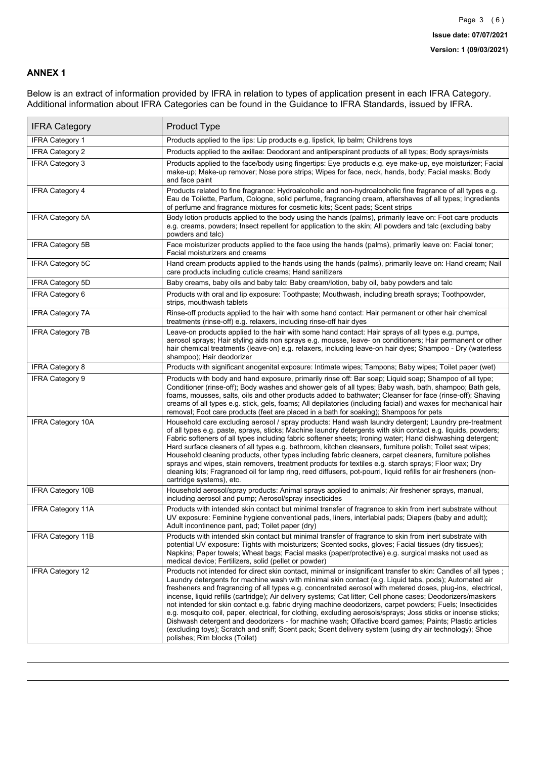### **ANNEX 1**

Below is an extract of information provided by IFRA in relation to types of application present in each IFRA Category. Additional information about IFRA Categories can be found in the Guidance to IFRA Standards, issued by IFRA.

| <b>IFRA Category</b>     | Product Type                                                                                                                                                                                                                                                                                                                                                                                                                                                                                                                                                                                                                                                                                                                                                                                                                                                                                                                                 |
|--------------------------|----------------------------------------------------------------------------------------------------------------------------------------------------------------------------------------------------------------------------------------------------------------------------------------------------------------------------------------------------------------------------------------------------------------------------------------------------------------------------------------------------------------------------------------------------------------------------------------------------------------------------------------------------------------------------------------------------------------------------------------------------------------------------------------------------------------------------------------------------------------------------------------------------------------------------------------------|
| <b>IFRA Category 1</b>   | Products applied to the lips: Lip products e.g. lipstick, lip balm; Childrens toys                                                                                                                                                                                                                                                                                                                                                                                                                                                                                                                                                                                                                                                                                                                                                                                                                                                           |
| <b>IFRA Category 2</b>   | Products applied to the axillae: Deodorant and antiperspirant products of all types; Body sprays/mists                                                                                                                                                                                                                                                                                                                                                                                                                                                                                                                                                                                                                                                                                                                                                                                                                                       |
| IFRA Category 3          | Products applied to the face/body using fingertips: Eye products e.g. eye make-up, eye moisturizer; Facial<br>make-up; Make-up remover; Nose pore strips; Wipes for face, neck, hands, body; Facial masks; Body<br>and face paint                                                                                                                                                                                                                                                                                                                                                                                                                                                                                                                                                                                                                                                                                                            |
| <b>IFRA Category 4</b>   | Products related to fine fragrance: Hydroalcoholic and non-hydroalcoholic fine fragrance of all types e.g.<br>Eau de Toilette, Parfum, Cologne, solid perfume, fragrancing cream, aftershaves of all types; Ingredients<br>of perfume and fragrance mixtures for cosmetic kits; Scent pads; Scent strips                                                                                                                                                                                                                                                                                                                                                                                                                                                                                                                                                                                                                                     |
| <b>IFRA Category 5A</b>  | Body lotion products applied to the body using the hands (palms), primarily leave on: Foot care products<br>e.g. creams, powders; Insect repellent for application to the skin; All powders and talc (excluding baby<br>powders and talc)                                                                                                                                                                                                                                                                                                                                                                                                                                                                                                                                                                                                                                                                                                    |
| IFRA Category 5B         | Face moisturizer products applied to the face using the hands (palms), primarily leave on: Facial toner;<br>Facial moisturizers and creams                                                                                                                                                                                                                                                                                                                                                                                                                                                                                                                                                                                                                                                                                                                                                                                                   |
| IFRA Category 5C         | Hand cream products applied to the hands using the hands (palms), primarily leave on: Hand cream; Nail<br>care products including cuticle creams; Hand sanitizers                                                                                                                                                                                                                                                                                                                                                                                                                                                                                                                                                                                                                                                                                                                                                                            |
| <b>IFRA Category 5D</b>  | Baby creams, baby oils and baby talc: Baby cream/lotion, baby oil, baby powders and talc                                                                                                                                                                                                                                                                                                                                                                                                                                                                                                                                                                                                                                                                                                                                                                                                                                                     |
| <b>IFRA Category 6</b>   | Products with oral and lip exposure: Toothpaste; Mouthwash, including breath sprays; Toothpowder,<br>strips, mouthwash tablets                                                                                                                                                                                                                                                                                                                                                                                                                                                                                                                                                                                                                                                                                                                                                                                                               |
| <b>IFRA Category 7A</b>  | Rinse-off products applied to the hair with some hand contact: Hair permanent or other hair chemical<br>treatments (rinse-off) e.g. relaxers, including rinse-off hair dyes                                                                                                                                                                                                                                                                                                                                                                                                                                                                                                                                                                                                                                                                                                                                                                  |
| <b>IFRA Category 7B</b>  | Leave-on products applied to the hair with some hand contact: Hair sprays of all types e.g. pumps,<br>aerosol sprays; Hair styling aids non sprays e.g. mousse, leave- on conditioners; Hair permanent or other<br>hair chemical treatments (leave-on) e.g. relaxers, including leave-on hair dyes; Shampoo - Dry (waterless<br>shampoo); Hair deodorizer                                                                                                                                                                                                                                                                                                                                                                                                                                                                                                                                                                                    |
| <b>IFRA Category 8</b>   | Products with significant anogenital exposure: Intimate wipes; Tampons; Baby wipes; Toilet paper (wet)                                                                                                                                                                                                                                                                                                                                                                                                                                                                                                                                                                                                                                                                                                                                                                                                                                       |
| <b>IFRA Category 9</b>   | Products with body and hand exposure, primarily rinse off: Bar soap; Liquid soap; Shampoo of all type;<br>Conditioner (rinse-off); Body washes and shower gels of all types; Baby wash, bath, shampoo; Bath gels,<br>foams, mousses, salts, oils and other products added to bathwater; Cleanser for face (rinse-off); Shaving<br>creams of all types e.g. stick, gels, foams; All depilatories (including facial) and waxes for mechanical hair<br>removal; Foot care products (feet are placed in a bath for soaking); Shampoos for pets                                                                                                                                                                                                                                                                                                                                                                                                   |
| <b>IFRA Category 10A</b> | Household care excluding aerosol / spray products: Hand wash laundry detergent; Laundry pre-treatment<br>of all types e.g. paste, sprays, sticks; Machine laundry detergents with skin contact e.g. liquids, powders;<br>Fabric softeners of all types including fabric softener sheets; Ironing water; Hand dishwashing detergent;<br>Hard surface cleaners of all types e.g. bathroom, kitchen cleansers, furniture polish; Toilet seat wipes;<br>Household cleaning products, other types including fabric cleaners, carpet cleaners, furniture polishes<br>sprays and wipes, stain removers, treatment products for textiles e.g. starch sprays; Floor wax; Dry<br>cleaning kits; Fragranced oil for lamp ring, reed diffusers, pot-pourri, liquid refills for air fresheners (non-<br>cartridge systems), etc.                                                                                                                          |
| <b>IFRA Category 10B</b> | Household aerosol/spray products: Animal sprays applied to animals; Air freshener sprays, manual,<br>including aerosol and pump; Aerosol/spray insecticides                                                                                                                                                                                                                                                                                                                                                                                                                                                                                                                                                                                                                                                                                                                                                                                  |
| <b>IFRA Category 11A</b> | Products with intended skin contact but minimal transfer of fragrance to skin from inert substrate without<br>UV exposure: Feminine hygiene conventional pads, liners, interlabial pads; Diapers (baby and adult);<br>Adult incontinence pant, pad; Toilet paper (dry)                                                                                                                                                                                                                                                                                                                                                                                                                                                                                                                                                                                                                                                                       |
| <b>IFRA Category 11B</b> | Products with intended skin contact but minimal transfer of fragrance to skin from inert substrate with<br>potential UV exposure: Tights with moisturizers; Scented socks, gloves; Facial tissues (dry tissues);<br>Napkins; Paper towels; Wheat bags; Facial masks (paper/protective) e.g. surgical masks not used as<br>medical device; Fertilizers, solid (pellet or powder)                                                                                                                                                                                                                                                                                                                                                                                                                                                                                                                                                              |
| <b>IFRA Category 12</b>  | Products not intended for direct skin contact, minimal or insignificant transfer to skin: Candles of all types;<br>Laundry detergents for machine wash with minimal skin contact (e.g. Liquid tabs, pods); Automated air<br>fresheners and fragrancing of all types e.g. concentrated aerosol with metered doses, plug-ins, electrical,<br>incense, liquid refills (cartridge); Air delivery systems; Cat litter; Cell phone cases; Deodorizers/maskers<br>not intended for skin contact e.g. fabric drying machine deodorizers, carpet powders; Fuels; Insecticides<br>e.g. mosquito coil, paper, electrical, for clothing, excluding aerosols/sprays; Joss sticks or incense sticks;<br>Dishwash detergent and deodorizers - for machine wash; Olfactive board games; Paints; Plastic articles<br>(excluding toys); Scratch and sniff; Scent pack; Scent delivery system (using dry air technology); Shoe<br>polishes; Rim blocks (Toilet) |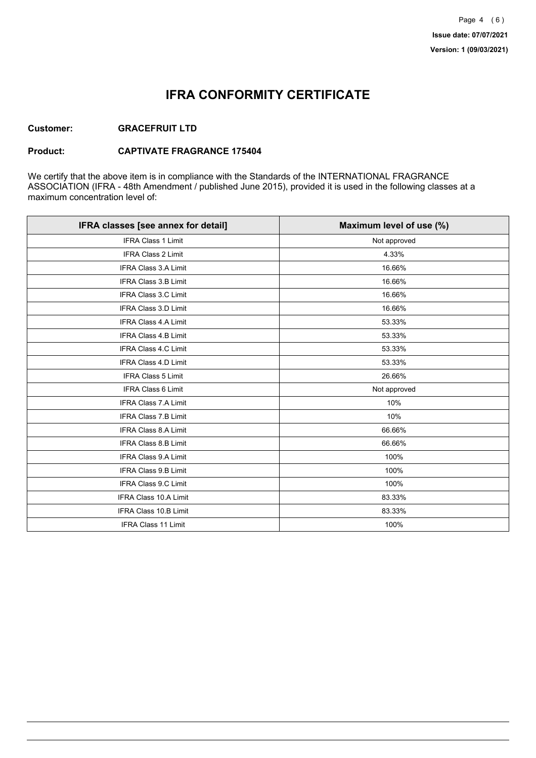## **IFRA CONFORMITY CERTIFICATE**

### **Customer: GRACEFRUIT LTD**

#### **Product: CAPTIVATE FRAGRANCE 175404**

We certify that the above item is in compliance with the Standards of the INTERNATIONAL FRAGRANCE ASSOCIATION (IFRA - 48th Amendment / published June 2015), provided it is used in the following classes at a maximum concentration level of:

| IFRA classes [see annex for detail] | Maximum level of use (%) |
|-------------------------------------|--------------------------|
| <b>IFRA Class 1 Limit</b>           | Not approved             |
| <b>IFRA Class 2 Limit</b>           | 4.33%                    |
| <b>IFRA Class 3.A Limit</b>         | 16.66%                   |
| <b>IFRA Class 3.B Limit</b>         | 16.66%                   |
| <b>IFRA Class 3.C Limit</b>         | 16.66%                   |
| <b>IFRA Class 3.D Limit</b>         | 16.66%                   |
| <b>IFRA Class 4.A Limit</b>         | 53.33%                   |
| <b>IFRA Class 4.B Limit</b>         | 53.33%                   |
| <b>IFRA Class 4.C Limit</b>         | 53.33%                   |
| <b>IFRA Class 4.D Limit</b>         | 53.33%                   |
| <b>IFRA Class 5 Limit</b>           | 26.66%                   |
| <b>IFRA Class 6 Limit</b>           | Not approved             |
| <b>IFRA Class 7.A Limit</b>         | 10%                      |
| <b>IFRA Class 7.B Limit</b>         | 10%                      |
| <b>IFRA Class 8.A Limit</b>         | 66.66%                   |
| IFRA Class 8.B Limit                | 66.66%                   |
| <b>IFRA Class 9.A Limit</b>         | 100%                     |
| <b>IFRA Class 9.B Limit</b>         | 100%                     |
| <b>IFRA Class 9.C Limit</b>         | 100%                     |
| IFRA Class 10.A Limit               | 83.33%                   |
| IFRA Class 10.B Limit               | 83.33%                   |
| <b>IFRA Class 11 Limit</b>          | 100%                     |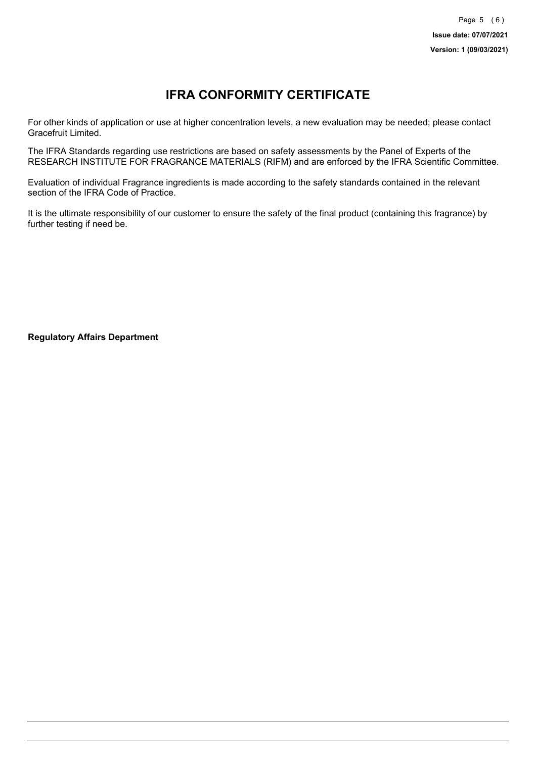# **IFRA CONFORMITY CERTIFICATE**

For other kinds of application or use at higher concentration levels, a new evaluation may be needed; please contact Gracefruit Limited.

The IFRA Standards regarding use restrictions are based on safety assessments by the Panel of Experts of the RESEARCH INSTITUTE FOR FRAGRANCE MATERIALS (RIFM) and are enforced by the IFRA Scientific Committee.

Evaluation of individual Fragrance ingredients is made according to the safety standards contained in the relevant section of the IFRA Code of Practice.

It is the ultimate responsibility of our customer to ensure the safety of the final product (containing this fragrance) by further testing if need be.

**Regulatory Affairs Department**